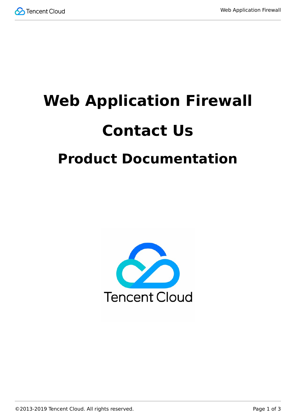

# **Web Application Firewall Contact Us Product Documentation**

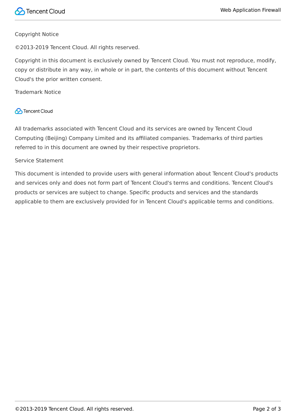#### Copyright Notice

©2013-2019 Tencent Cloud. All rights reserved.

Copyright in this document is exclusively owned by Tencent Cloud. You must not reproduce, modify, copy or distribute in any way, in whole or in part, the contents of this document without Tencent Cloud's the prior written consent.

Trademark Notice

#### **C** Tencent Cloud

All trademarks associated with Tencent Cloud and its services are owned by Tencent Cloud Computing (Beijing) Company Limited and its affiliated companies. Trademarks of third parties referred to in this document are owned by their respective proprietors.

#### Service Statement

This document is intended to provide users with general information about Tencent Cloud's products and services only and does not form part of Tencent Cloud's terms and conditions. Tencent Cloud's products or services are subject to change. Specific products and services and the standards applicable to them are exclusively provided for in Tencent Cloud's applicable terms and conditions.